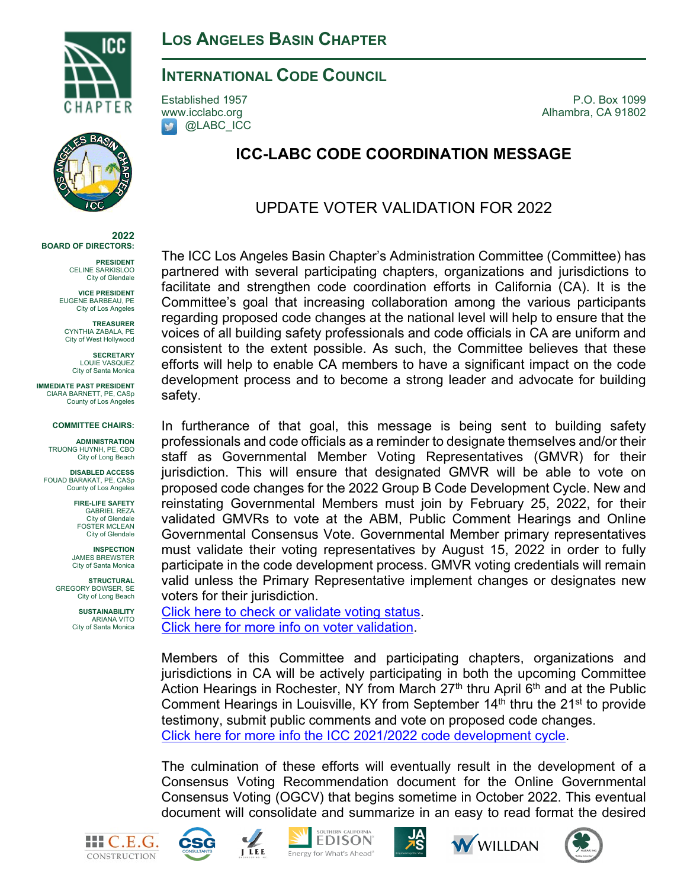

**2022 BOARD OF DIRECTORS:**

**IMMEDIATE PAST PRESIDENT** CIARA BARNETT, PE, CASp County of Los Angeles

**COMMITTEE CHAIRS: ADMINISTRATION**  TRUONG HUYNH, PE, CBO City of Long Beach **DISABLED ACCESS** FOUAD BARAKAT, PE, CASp County of Los Angeles **FIRE-LIFE SAFETY** GABRIEL REZA City of Glendale FOSTER MCLEAN City of Glendale **INSPECTION** JAMES BREWSTER City of Santa Monica **STRUCTURAL** GREGORY BOWSER, SE City of Long Beach **SUSTAINABILITY**  ARIANA VITO City of Santa Monica

**PRESIDENT** CELINE SARKISLOO City of Glendale **VICE PRESIDENT** EUGENE BARBEAU, PE City of Los Angeles **TREASURER** CYNTHIA ZABALA, PE City of West Hollywood **SECRETARY** LOUIE VASQUEZ City of Santa Monica

### **INTERNATIONAL CODE COUNCIL**

**D** @LABC\_ICC

Established 1957 P.O. Box 1099 [www.icclabc.org](http://www.icclabc.org/) **Alhambra, CA 91802** 

# **ICC-LABC CODE COORDINATION MESSAGE**

## UPDATE VOTER VALIDATION FOR 2022

The ICC Los Angeles Basin Chapter's Administration Committee (Committee) has partnered with several participating chapters, organizations and jurisdictions to facilitate and strengthen code coordination efforts in California (CA). It is the Committee's goal that increasing collaboration among the various participants regarding proposed code changes at the national level will help to ensure that the voices of all building safety professionals and code officials in CA are uniform and consistent to the extent possible. As such, the Committee believes that these efforts will help to enable CA members to have a significant impact on the code development process and to become a strong leader and advocate for building safety.

In furtherance of that goal, this message is being sent to building safety professionals and code officials as a reminder to designate themselves and/or their staff as Governmental Member Voting Representatives (GMVR) for their jurisdiction. This will ensure that designated GMVR will be able to vote on proposed code changes for the 2022 Group B Code Development Cycle. New and reinstating Governmental Members must join by February 25, 2022, for their validated GMVRs to vote at the ABM, Public Comment Hearings and Online Governmental Consensus Vote. Governmental Member primary representatives must validate their voting representatives by August 15, 2022 in order to fully participate in the code development process. GMVR voting credentials will remain valid unless the Primary Representative implement changes or designates new voters for their jurisdiction.

[Click here to check or validate voting status.](https://av.iccsafe.org/eweb/DynamicPage.aspx?WebCode=LoginRequired&expires=yes&Site=icc) [Click here for more info on voter validation.](https://www.iccsafe.org/voter-validation-process-faqs/?utm_source=hs_email&utm_medium=email&utm_content=107421081&_hsenc=p2ANqtz--dSq9HRCud2xmpiu_Di7AoR3uhNHVsPOvM9T98ZPT7bQSovvpNobuPZ91O5XImm8rmrWkRqF_QVZ_s-kJKtnfYz8i0Oq4sOogaqiLPn2RUDroNfrk)

Members of this Committee and participating chapters, organizations and jurisdictions in CA will be actively participating in both the upcoming Committee Action Hearings in Rochester, NY from March  $27<sup>th</sup>$  thru April 6<sup>th</sup> and at the Public Comment Hearings in Louisville, KY from September  $14<sup>th</sup>$  thru the  $21<sup>st</sup>$  to provide testimony, submit public comments and vote on proposed code changes. [Click here for more info the ICC 2021/2022 code development cycle.](https://www.iccsafe.org/products-and-services/i-codes/code-development/current-code-development-cycle/)

The culmination of these efforts will eventually result in the development of a Consensus Voting Recommendation document for the Online Governmental Consensus Voting (OGCV) that begins sometime in October 2022. This eventual document will consolidate and summarize in an easy to read format the desired







**EDISON** Energy for What's Ahead®